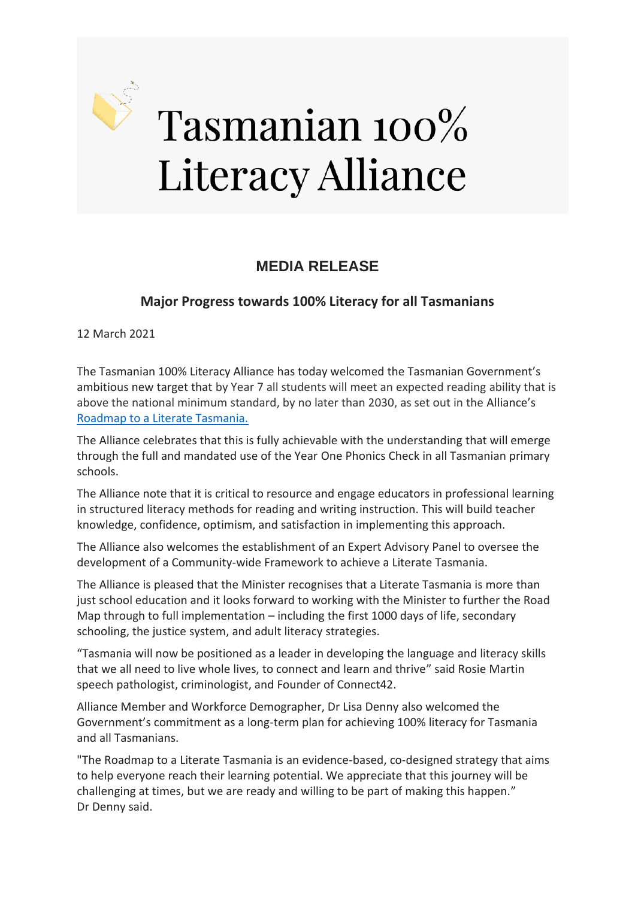

## Tasmanian 100% **Literacy Alliance**

## **MEDIA RELEASE**

## **Major Progress towards 100% Literacy for all Tasmanians**

12 March 2021

The Tasmanian 100% Literacy Alliance has today welcomed the Tasmanian Government's ambitious new target that by Year 7 all students will meet an expected reading ability that is above the national minimum standard, by no later than 2030, as set out in the Alliance's [Roadmap to a Literate Tasmania.](https://cd15634f-1f19-4813-8142-fe3b6d00adcd.filesusr.com/ugd/f6e09f_8b2f9c10e41541299b04c27b13ccefc3.pdf)

The Alliance celebrates that this is fully achievable with the understanding that will emerge through the full and mandated use of the Year One Phonics Check in all Tasmanian primary schools.

The Alliance note that it is critical to resource and engage educators in professional learning in structured literacy methods for reading and writing instruction. This will build teacher knowledge, confidence, optimism, and satisfaction in implementing this approach.

The Alliance also welcomes the establishment of an Expert Advisory Panel to oversee the development of a Community-wide Framework to achieve a Literate Tasmania.

The Alliance is pleased that the Minister recognises that a Literate Tasmania is more than just school education and it looks forward to working with the Minister to further the Road Map through to full implementation – including the first 1000 days of life, secondary schooling, the justice system, and adult literacy strategies.

"Tasmania will now be positioned as a leader in developing the language and literacy skills that we all need to live whole lives, to connect and learn and thrive" said Rosie Martin speech pathologist, criminologist, and Founder of Connect42.

Alliance Member and Workforce Demographer, Dr Lisa Denny also welcomed the Government's commitment as a long-term plan for achieving 100% literacy for Tasmania and all Tasmanians.

"The Roadmap to a Literate Tasmania is an evidence-based, co-designed strategy that aims to help everyone reach their learning potential. We appreciate that this journey will be challenging at times, but we are ready and willing to be part of making this happen." Dr Denny said.